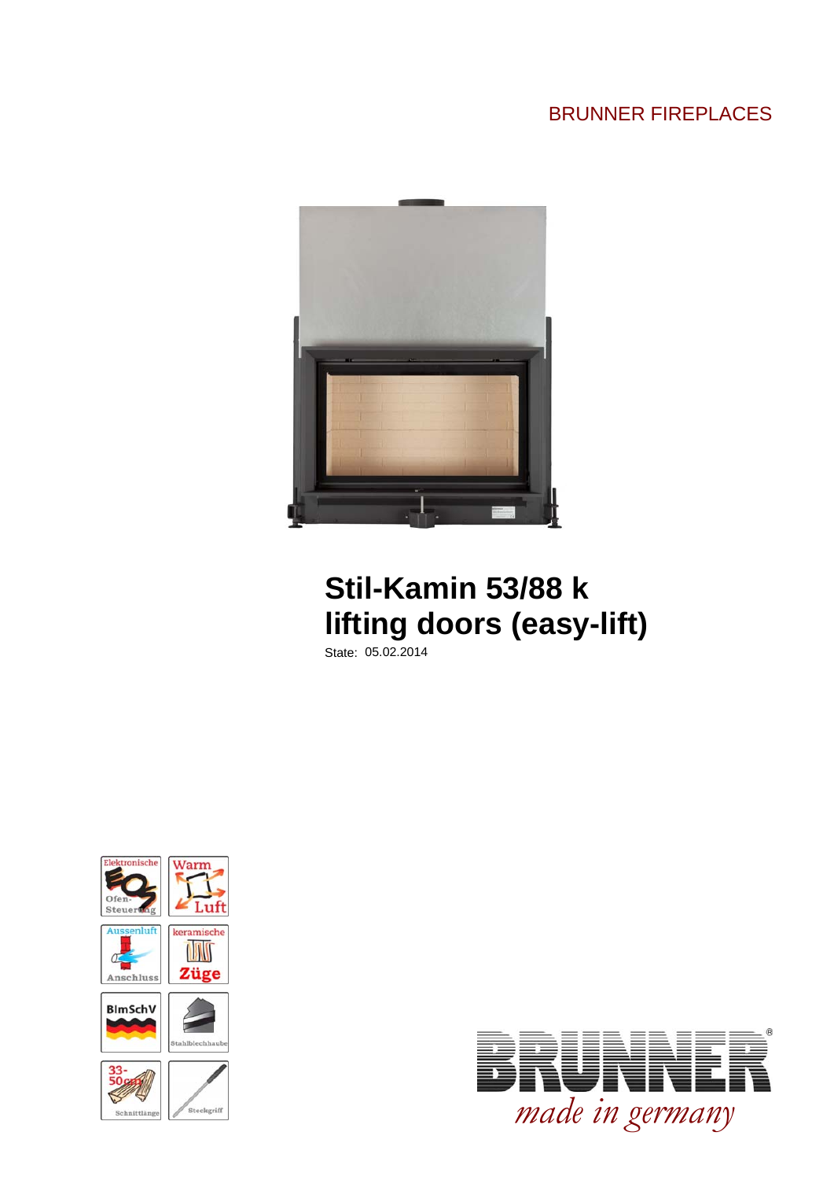### BRUNNER FIREPLACES



## **Stil-Kamin 53/88 k lifting doors (easy-lift)**

State: 05.02.2014



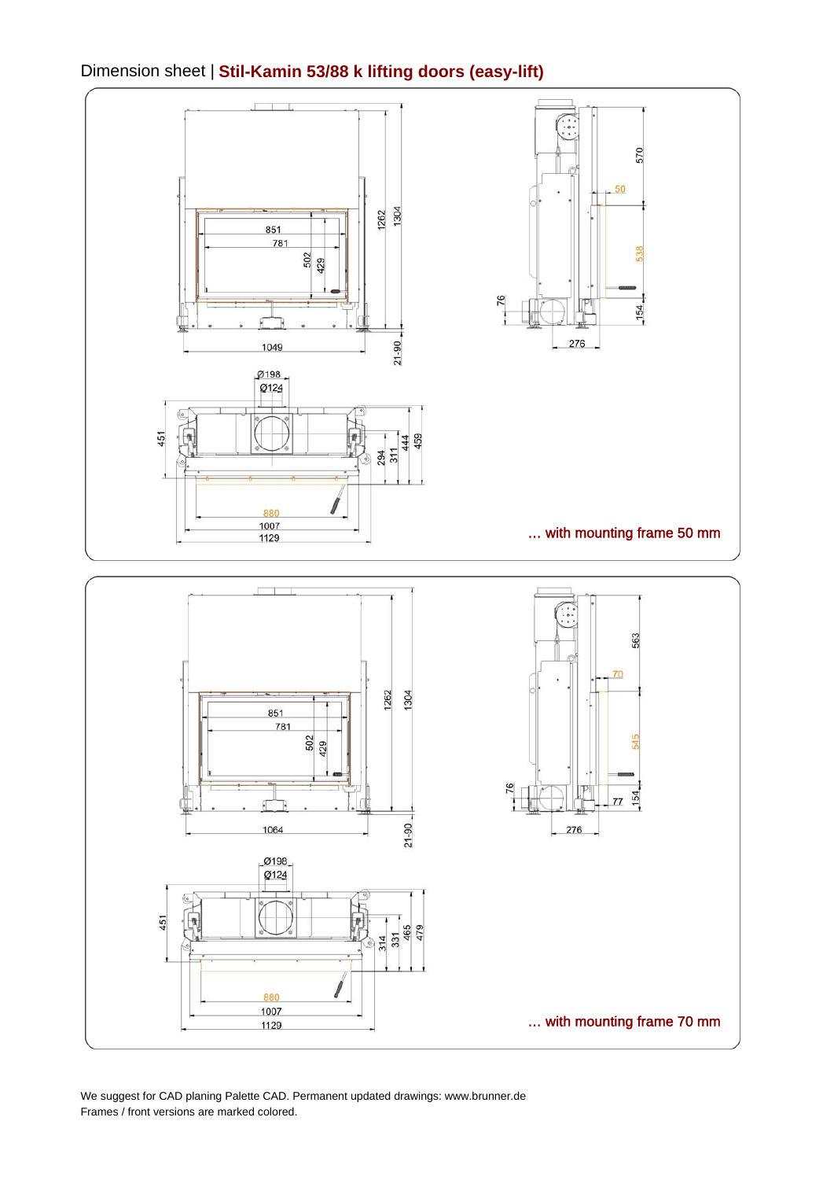#### Dimension sheet | **Stil-Kamin 53/88 k lifting doors (easy-lift)**



We suggest for CAD planing Palette CAD. Permanent updated drawings: www.brunner.de Frames / front versions are marked colored.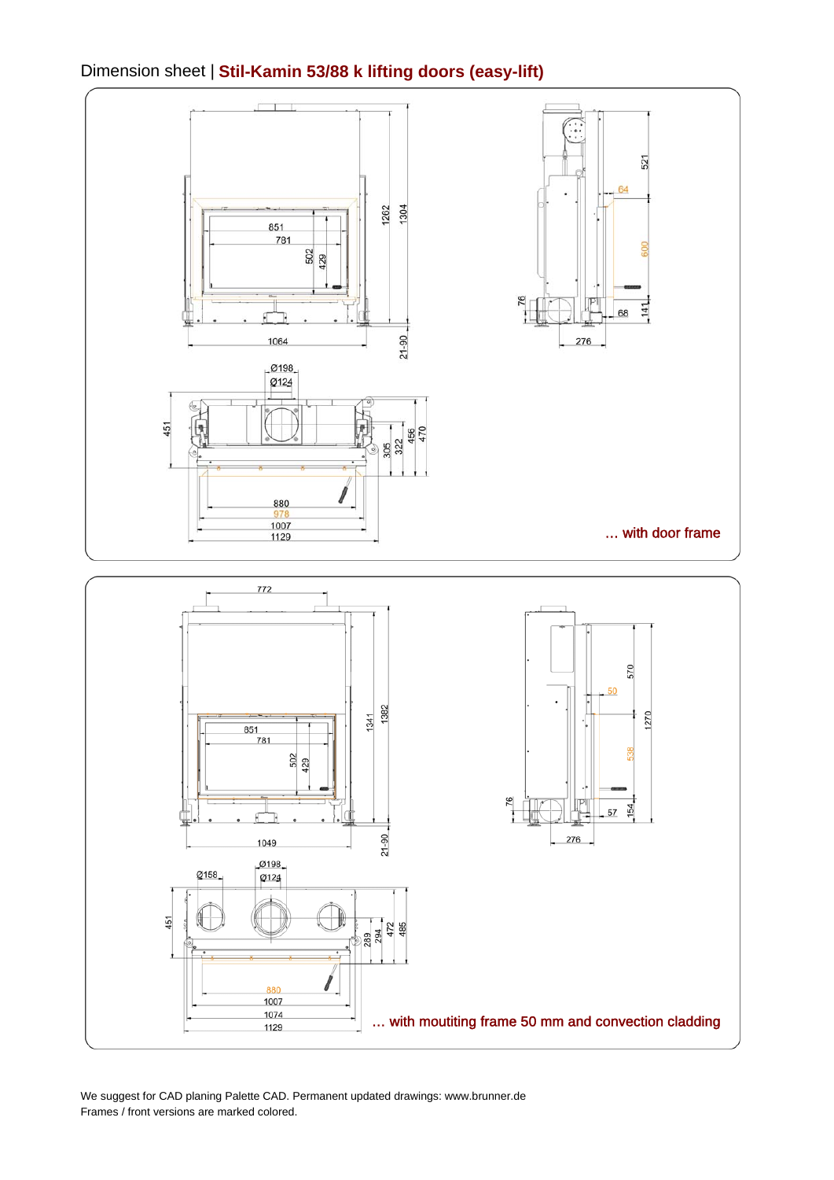#### Dimension sheet | **Stil-Kamin 53/88 k lifting doors (easy-lift)**



We suggest for CAD planing Palette CAD. Permanent updated drawings: www.brunner.de Frames / front versions are marked colored.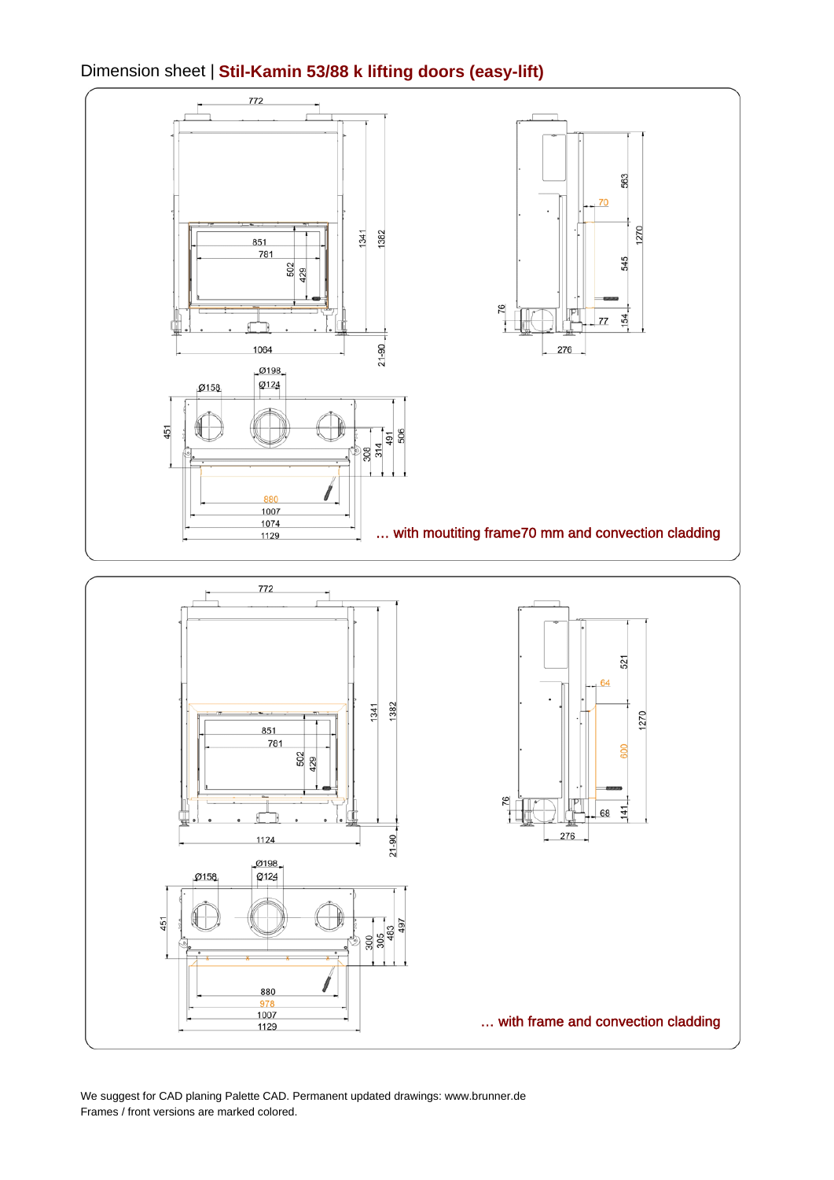#### Dimension sheet | **Stil-Kamin 53/88 k lifting doors (easy-lift)**



We suggest for CAD planing Palette CAD. Permanent updated drawings: www.brunner.de Frames / front versions are marked colored.